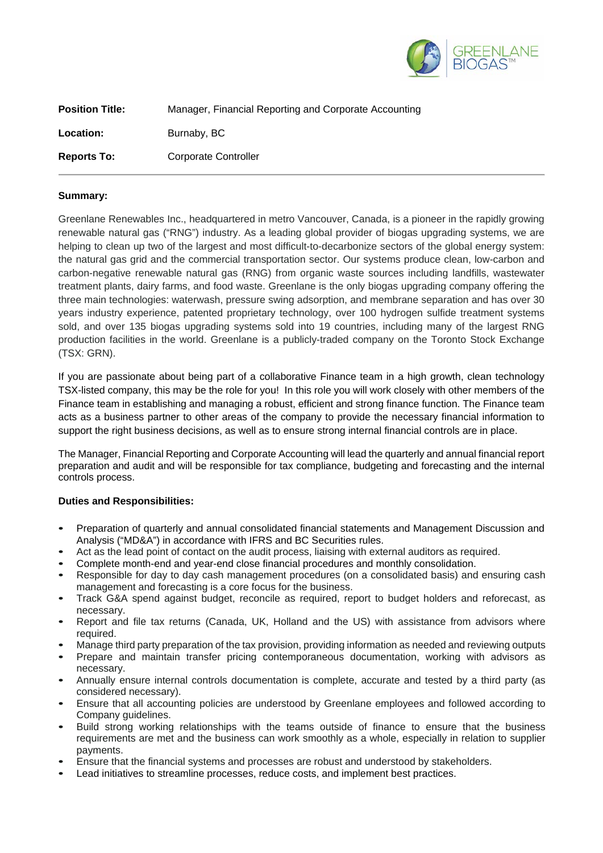

| <b>Position Title:</b> | Manager, Financial Reporting and Corporate Accounting |
|------------------------|-------------------------------------------------------|
| <b>Location:</b>       | Burnaby, BC                                           |
| <b>Reports To:</b>     | Corporate Controller                                  |

## **Summary:**

Greenlane Renewables Inc., headquartered in metro Vancouver, Canada, is a pioneer in the rapidly growing renewable natural gas ("RNG") industry. As a leading global provider of biogas upgrading systems, we are helping to clean up two of the largest and most difficult-to-decarbonize sectors of the global energy system: the natural gas grid and the commercial transportation sector. Our systems produce clean, low-carbon and carbon-negative renewable natural gas (RNG) from organic waste sources including landfills, wastewater treatment plants, dairy farms, and food waste. Greenlane is the only biogas upgrading company offering the three main technologies: waterwash, pressure swing adsorption, and membrane separation and has over 30 years industry experience, patented proprietary technology, over 100 hydrogen sulfide treatment systems sold, and over 135 biogas upgrading systems sold into 19 countries, including many of the largest RNG production facilities in the world. Greenlane is a publicly-traded company on the Toronto Stock Exchange (TSX: GRN).

If you are passionate about being part of a collaborative Finance team in a high growth, clean technology TSX-listed company, this may be the role for you! In this role you will work closely with other members of the Finance team in establishing and managing a robust, efficient and strong finance function. The Finance team acts as a business partner to other areas of the company to provide the necessary financial information to support the right business decisions, as well as to ensure strong internal financial controls are in place.

The Manager, Financial Reporting and Corporate Accounting will lead the quarterly and annual financial report preparation and audit and will be responsible for tax compliance, budgeting and forecasting and the internal controls process.

## **Duties and Responsibilities:**

- Preparation of quarterly and annual consolidated financial statements and Management Discussion and Analysis ("MD&A") in accordance with IFRS and BC Securities rules.
- Act as the lead point of contact on the audit process, liaising with external auditors as required.
- Complete month-end and year-end close financial procedures and monthly consolidation.
- Responsible for day to day cash management procedures (on a consolidated basis) and ensuring cash management and forecasting is a core focus for the business.
- Track G&A spend against budget, reconcile as required, report to budget holders and reforecast, as necessary.
- Report and file tax returns (Canada, UK, Holland and the US) with assistance from advisors where required.
- Manage third party preparation of the tax provision, providing information as needed and reviewing outputs
- Prepare and maintain transfer pricing contemporaneous documentation, working with advisors as necessary.
- Annually ensure internal controls documentation is complete, accurate and tested by a third party (as considered necessary).
- Ensure that all accounting policies are understood by Greenlane employees and followed according to Company guidelines.
- Build strong working relationships with the teams outside of finance to ensure that the business requirements are met and the business can work smoothly as a whole, especially in relation to supplier payments.
- Ensure that the financial systems and processes are robust and understood by stakeholders.
- Lead initiatives to streamline processes, reduce costs, and implement best practices.